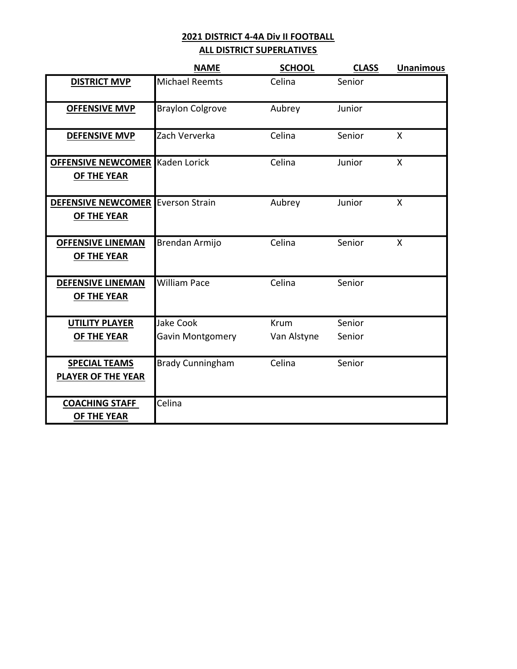### ALL DISTRICT SUPERLATIVES

|                                                   | <b>NAME</b>             | <b>SCHOOL</b> | <b>CLASS</b> | <b>Unanimous</b> |
|---------------------------------------------------|-------------------------|---------------|--------------|------------------|
| <b>DISTRICT MVP</b>                               | <b>Michael Reemts</b>   | Celina        | Senior       |                  |
| <b>OFFENSIVE MVP</b>                              | <b>Braylon Colgrove</b> | Aubrey        | Junior       |                  |
| <b>DEFENSIVE MVP</b>                              | Zach Ververka           | Celina        | Senior       | X                |
| <b>OFFENSIVE NEWCOMER</b><br><b>OF THE YEAR</b>   | Kaden Lorick            | Celina        | Junior       | $\mathsf{x}$     |
| <b>DEFENSIVE NEWCOMER</b><br><b>OF THE YEAR</b>   | <b>Everson Strain</b>   | Aubrey        | Junior       | X                |
| <b>OFFENSIVE LINEMAN</b><br>OF THE YEAR           | Brendan Armijo          | Celina        | Senior       | X                |
| <b>DEFENSIVE LINEMAN</b><br>OF THE YEAR           | <b>William Pace</b>     | Celina        | Senior       |                  |
| <b>UTILITY PLAYER</b>                             | <b>Jake Cook</b>        | Krum          | Senior       |                  |
| <b>OF THE YEAR</b>                                | <b>Gavin Montgomery</b> | Van Alstyne   | Senior       |                  |
| <b>SPECIAL TEAMS</b><br><b>PLAYER OF THE YEAR</b> | <b>Brady Cunningham</b> | Celina        | Senior       |                  |
| <b>COACHING STAFF</b><br>OF THE YEAR              | Celina                  |               |              |                  |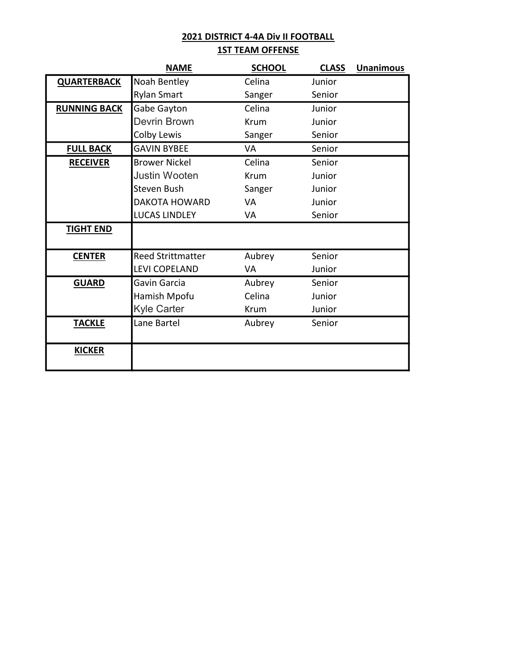## 2021 DISTRICT 4-4A Div II FOOTBALL **1ST TEAM OFFENSE**

|                     | <b>NAME</b>              | <b>SCHOOL</b> | <b>CLASS</b> | <b>Unanimous</b> |
|---------------------|--------------------------|---------------|--------------|------------------|
| <b>QUARTERBACK</b>  | Noah Bentley             | Celina        | Junior       |                  |
|                     | <b>Rylan Smart</b>       | Sanger        | Senior       |                  |
| <b>RUNNING BACK</b> | Gabe Gayton              | Celina        | Junior       |                  |
|                     | Devrin Brown             | Krum          | Junior       |                  |
|                     | Colby Lewis              | Sanger        | Senior       |                  |
| <b>FULL BACK</b>    | <b>GAVIN BYBEE</b>       | VA            | Senior       |                  |
| <b>RECEIVER</b>     | <b>Brower Nickel</b>     | Celina        | Senior       |                  |
|                     | <b>Justin Wooten</b>     | <b>Krum</b>   | Junior       |                  |
|                     | Steven Bush              | Sanger        | Junior       |                  |
|                     | <b>DAKOTA HOWARD</b>     | <b>VA</b>     | Junior       |                  |
|                     | <b>LUCAS LINDLEY</b>     | VA            | Senior       |                  |
| <b>TIGHT END</b>    |                          |               |              |                  |
| <b>CENTER</b>       | <b>Reed Strittmatter</b> | Aubrey        | Senior       |                  |
|                     | <b>LEVI COPELAND</b>     | VA            | Junior       |                  |
| <b>GUARD</b>        | Gavin Garcia             | Aubrey        | Senior       |                  |
|                     | Hamish Mpofu             | Celina        | Junior       |                  |
|                     | <b>Kyle Carter</b>       | Krum          | Junior       |                  |
| <b>TACKLE</b>       | Lane Bartel              | Aubrey        | Senior       |                  |
| <b>KICKER</b>       |                          |               |              |                  |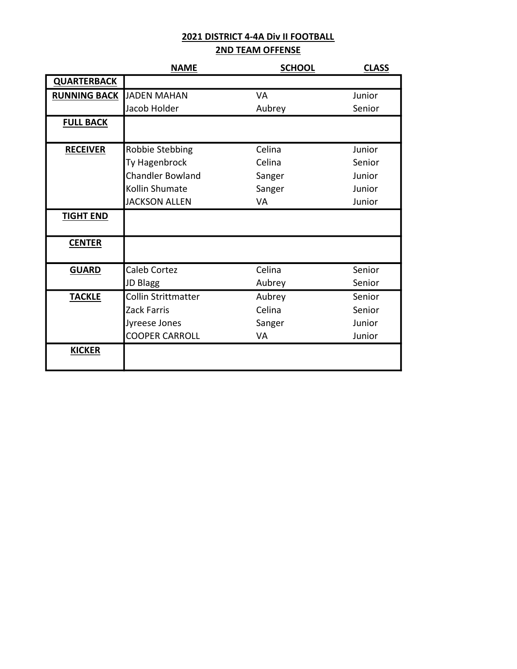## 2ND TEAM OFFENSE

|                     | <b>NAME</b>                | <b>SCHOOL</b> | <b>CLASS</b> |
|---------------------|----------------------------|---------------|--------------|
| <b>QUARTERBACK</b>  |                            |               |              |
| <b>RUNNING BACK</b> | <b>JADEN MAHAN</b>         | <b>VA</b>     | Junior       |
|                     | Jacob Holder               | Aubrey        | Senior       |
| <b>FULL BACK</b>    |                            |               |              |
|                     |                            |               |              |
| <b>RECEIVER</b>     | Robbie Stebbing            | Celina        | Junior       |
|                     | Ty Hagenbrock              | Celina        | Senior       |
|                     | <b>Chandler Bowland</b>    | Sanger        | Junior       |
|                     | Kollin Shumate             | Sanger        | Junior       |
|                     | <b>JACKSON ALLEN</b>       | <b>VA</b>     | Junior       |
| <b>TIGHT END</b>    |                            |               |              |
|                     |                            |               |              |
| <b>CENTER</b>       |                            |               |              |
|                     |                            |               |              |
| <b>GUARD</b>        | <b>Caleb Cortez</b>        | Celina        | Senior       |
|                     | JD Blagg                   | Aubrey        | Senior       |
| <b>TACKLE</b>       | <b>Collin Strittmatter</b> | Aubrey        | Senior       |
|                     | Zack Farris                | Celina        | Senior       |
|                     | Jyreese Jones              | Sanger        | Junior       |
|                     | <b>COOPER CARROLL</b>      | VA            | Junior       |
| <b>KICKER</b>       |                            |               |              |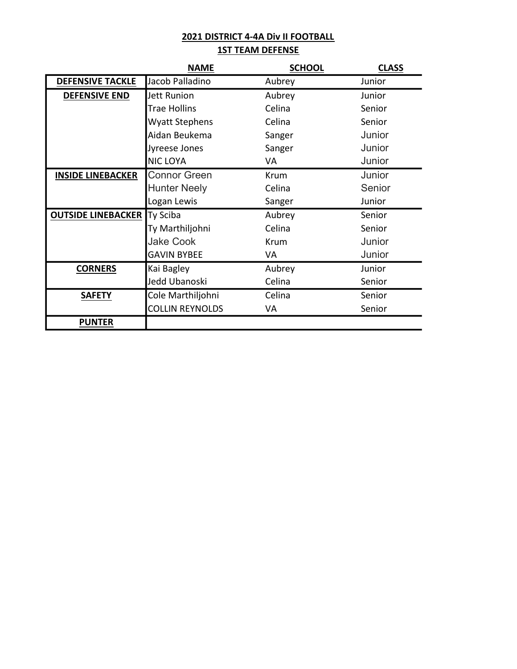## **1ST TEAM DEFENSE**

|                           | <b>NAME</b>            | <b>SCHOOL</b> | <b>CLASS</b> |
|---------------------------|------------------------|---------------|--------------|
| <b>DEFENSIVE TACKLE</b>   | Jacob Palladino        | Aubrey        | Junior       |
| <b>DEFENSIVE END</b>      | <b>Jett Runion</b>     | Aubrey        | Junior       |
|                           | <b>Trae Hollins</b>    | Celina        | Senior       |
|                           | <b>Wyatt Stephens</b>  | Celina        | Senior       |
|                           | Aidan Beukema          | Sanger        | Junior       |
|                           | Jyreese Jones          | Sanger        | Junior       |
|                           | <b>NIC LOYA</b>        | VA            | Junior       |
| <b>INSIDE LINEBACKER</b>  | <b>Connor Green</b>    | Krum          | Junior       |
|                           | <b>Hunter Neely</b>    | Celina        | Senior       |
|                           | Logan Lewis            | Sanger        | Junior       |
| <b>OUTSIDE LINEBACKER</b> | Ty Sciba               | Aubrey        | Senior       |
|                           | Ty Marthiljohni        | Celina        | Senior       |
|                           | <b>Jake Cook</b>       | Krum          | Junior       |
|                           | <b>GAVIN BYBEE</b>     | VA            | Junior       |
| <b>CORNERS</b>            | Kai Bagley             | Aubrey        | Junior       |
|                           | Jedd Ubanoski          | Celina        | Senior       |
| <b>SAFETY</b>             | Cole Marthiljohni      | Celina        | Senior       |
|                           | <b>COLLIN REYNOLDS</b> | VA            | Senior       |
| <b>PUNTER</b>             |                        |               |              |